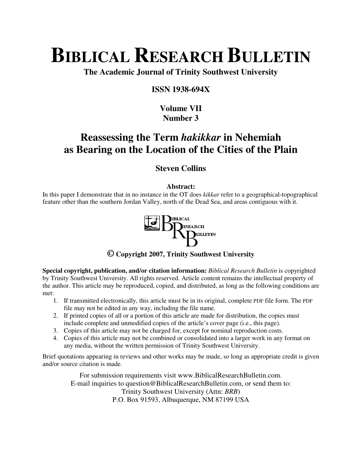# **BIBLICAL RESEARCH BULLETIN**

**The Academic Journal of Trinity Southwest University** 

#### **ISSN 1938-694X**

## **Volume VII Number 3**

## **Reassessing the Term** *hakikkar* **in Nehemiah as Bearing on the Location of the Cities of the Plain**

### **Steven Collins**

#### **Abstract:**

In this paper I demonstrate that in no instance in the OT does *kikkar* refer to a geographical-topographical feature other than the southern Jordan Valley, north of the Dead Sea, and areas contiguous with it.



#### **© Copyright 2007, Trinity Southwest University**

**Special copyright, publication, and/or citation information:** *Biblical Research Bulletin* is copyrighted by Trinity Southwest University. All rights reserved. Article content remains the intellectual property of the author. This article may be reproduced, copied, and distributed, as long as the following conditions are met:

- 1. If transmitted electronically, this article must be in its original, complete PDF file form. The PDF file may not be edited in any way, including the file name.
- 2. If printed copies of all or a portion of this article are made for distribution, the copies must include complete and unmodified copies of the article's cover page (i.e., this page).
- 3. Copies of this article may not be charged for, except for nominal reproduction costs.
- 4. Copies of this article may not be combined or consolidated into a larger work in any format on any media, without the written permission of Trinity Southwest University.

Brief quotations appearing in reviews and other works may be made, so long as appropriate credit is given and/or source citation is made.

For submission requirements visit www.BiblicalResearchBulletin.com. E-mail inquiries to question@BiblicalResearchBulletin.com, or send them to: Trinity Southwest University (Attn: *BRB*) P.O. Box 91593, Albuquerque, NM 87199 USA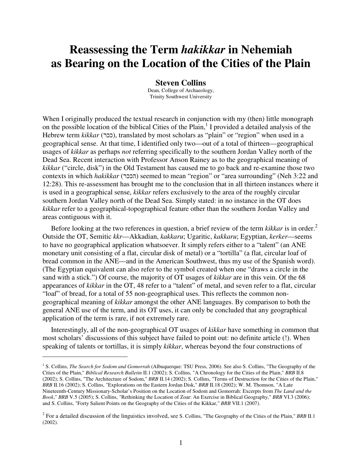# **Reassessing the Term** *hakikkar* **in Nehemiah as Bearing on the Location of the Cities of the Plain**

#### **Steven Collins**

Dean, College of Archaeology, Trinity Southwest University

When I originally produced the textual research in conjunction with my (then) little monograph on the possible location of the biblical Cities of the Plain,<sup>1</sup> I provided a detailed analysis of the Hebrew term *kikkar* (ככר), translated by most scholars as "plain" or "region" when used in a geographical sense. At that time, I identified only two—out of a total of thirteen—geographical usages of *kikkar* as perhaps *not* referring specifically to the southern Jordan Valley north of the Dead Sea. Recent interaction with Professor Anson Rainey as to the geographical meaning of *kikkar* ("circle, disk") in the Old Testament has caused me to go back and re-examine those two contexts in which *hakikkar* (הככר) seemed to mean "region" or "area surrounding" (Neh 3:22 and 12:28). This re-assessment has brought me to the conclusion that in all thirteen instances where it is used in a geographical sense, *kikkar* refers exclusively to the area of the roughly circular southern Jordan Valley north of the Dead Sea. Simply stated: in no instance in the OT does *kikkar* refer to a geographical-topographical feature other than the southern Jordan Valley and areas contiguous with it.

Before looking at the two references in question, a brief review of the term *kikkar* is in order.<sup>2</sup> Outside the OT, Semitic *kkr*—Akkadian, *kakkaru*; Ugaritic, *kakkaru*; Egyptian, *kerker*—seems to have no geographical application whatsoever. It simply refers either to a "talent" (an ANE monetary unit consisting of a flat, circular disk of metal) or a "tortilla" (a flat, circular loaf of bread common in the ANE—and in the American Southwest, thus my use of the Spanish word). (The Egyptian equivalent can also refer to the symbol created when one "draws a circle in the sand with a stick.") Of course, the majority of OT usages of *kikkar* are in this vein. Of the 68 appearances of *kikkar* in the OT, 48 refer to a "talent" of metal, and seven refer to a flat, circular "loaf" of bread, for a total of 55 non-geographical uses. This reflects the common nongeographical meaning of *kikkar* amongst the other ANE languages. By comparison to both the general ANE use of the term, and its OT uses, it can only be concluded that any geographical application of the term is rare, if not extremely rare.

Interestingly, all of the non-geographical OT usages of *kikkar* have something in common that most scholars' discussions of this subject have failed to point out: no definite article (!). When speaking of talents or tortillas, it is simply *kikkar*, whereas beyond the four constructions of

 $\overline{a}$ 

<sup>&</sup>lt;sup>1</sup> S. Collins, *The Search for Sodom and Gomorrah* (Albuquerque: TSU Press, 2006). See also S. Collins, "The Geography of the Cities of the Plain," *Biblical Research Bulletin* II.1 (2002); S. Collins, "A Chronology for the Cities of the Plain," *BRB* II.8 (2002); S. Collins, "The Architecture of Sodom," *BRB* II.14 (2002); S. Collins, "Terms of Destruction for the Cities of the Plain," *BRB* II.16 (2002); S. Collins, "Explorations on the Eastern Jordan Disk," *BRB* II.18 (2002); W. M. Thomson, "A Late Nineteenth-Century Missionary-Scholar's Position on the Location of Sodom and Gomorrah: Excerpts from *The Land and the Book*," *BRB* V.5 (2005); S. Collins, "Rethinking the Location of Zoar: An Exercise in Biblical Geography," *BRB* VI.3 (2006); and S. Collins, "Forty Salient Points on the Geography of the Cities of the Kikkar," *BRB* VII.1 (2007).

<sup>2</sup> For a detailed discussion of the linguistics involved, see S. Collins, "The Geography of the Cities of the Plain," *BRB* II.1 (2002).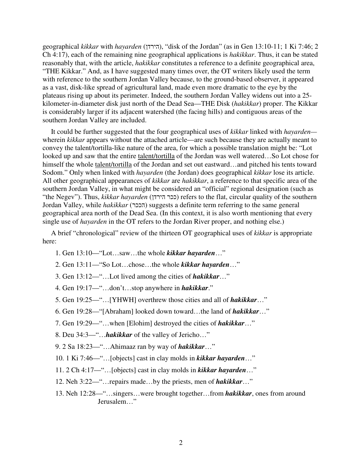geographical *kikkar* with *hayarden* (הירדן), "disk of the Jordan" (as in Gen 13:10-11; 1 Ki 7:46; 2 Ch 4:17), each of the remaining nine geographical applications is *hakikkar*. Thus, it can be stated reasonably that, with the article, *hakikkar* constitutes a reference to a definite geographical area, "THE Kikkar." And, as I have suggested many times over, the OT writers likely used the term with reference to the southern Jordan Valley because, to the ground-based observer, it appeared as a vast, disk-like spread of agricultural land, made even more dramatic to the eye by the plateaus rising up about its perimeter. Indeed, the southern Jordan Valley widens out into a 25 kilometer-in-diameter disk just north of the Dead Sea—THE Disk (*hakikkar*) proper. The Kikkar is considerably larger if its adjacent watershed (the facing hills) and contiguous areas of the southern Jordan Valley are included.

It could be further suggested that the four geographical uses of *kikkar* linked with *hayarden* wherein *kikkar* appears without the attached article—are such because they are actually meant to convey the talent/tortilla-like nature of the area, for which a possible translation might be: "Lot looked up and saw that the entire talent/tortilla of the Jordan was well watered…So Lot chose for himself the whole talent/tortilla of the Jordan and set out eastward...and pitched his tents toward Sodom." Only when linked with *hayarden* (the Jordan) does geographical *kikkar* lose its article. All other geographical appearances of *kikkar* are *hakikkar*, a reference to that specific area of the southern Jordan Valley, in what might be considered an "official" regional designation (such as "the Negev"). Thus, *kikkar hayarden* (ככר הירדן) refers to the flat, circular quality of the southern Jordan Valley, while *hakikkar* (הככר) suggests a definite term referring to the same general geographical area north of the Dead Sea. (In this context, it is also worth mentioning that every single use of *hayarden* in the OT refers to the Jordan River proper, and nothing else.)

A brief "chronological" review of the thirteen OT geographical uses of *kikkar* is appropriate here:

- 1. Gen 13:10—"Lot…saw…the whole *kikkar hayarden*…"
- 2. Gen 13:11—"So Lot…chose…the whole *kikkar hayarden*…"
- 3. Gen 13:12—"…Lot lived among the cities of *hakikkar*…"
- 4. Gen 19:17—"…don't…stop anywhere in *hakikkar*."
- 5. Gen 19:25—"…[YHWH] overthrew those cities and all of *hakikkar*…"
- 6. Gen 19:28—"[Abraham] looked down toward…the land of *hakikkar*…"
- 7. Gen 19:29—"…when [Elohim] destroyed the cities of *hakikkar*…"
- 8. Deu 34:3—"…*hakikkar* of the valley of Jericho…"

9. 2 Sa 18:23—"…Ahimaaz ran by way of *hakikkar*…"

- 10. 1 Ki 7:46—"…[objects] cast in clay molds in *kikkar hayarden*…"
- 11. 2 Ch 4:17—"…[objects] cast in clay molds in *kikkar hayarden*…"
- 12. Neh 3:22—"…repairs made…by the priests, men of *hakikkar*…"
- 13. Neh 12:28—"…singers…were brought together…from *hakikkar*, ones from around Jerusalem…"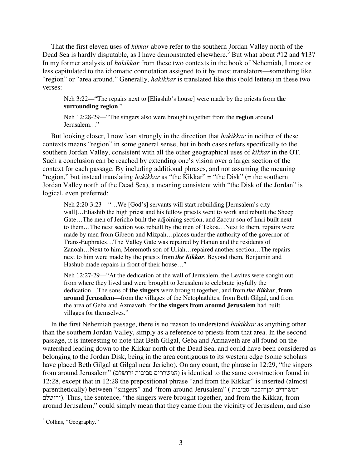That the first eleven uses of *kikkar* above refer to the southern Jordan Valley north of the Dead Sea is hardly disputable, as I have demonstrated elsewhere.<sup>3</sup> But what about #12 and #13? In my former analysis of *hakikkar* from these two contexts in the book of Nehemiah, I more or less capitulated to the idiomatic connotation assigned to it by most translators—something like "region" or "area around." Generally, *hakikkar* is translated like this (bold letters) in these two verses:

Neh 3:22—"The repairs next to [Eliashib's house] were made by the priests from **the surrounding region**."

Neh 12:28-29—"The singers also were brought together from the **region** around Jerusalem…"

But looking closer, I now lean strongly in the direction that *hakikkar* in neither of these contexts means "region" in some general sense, but in both cases refers specifically to the southern Jordan Valley, consistent with all the other geographical uses of *kikkar* in the OT. Such a conclusion can be reached by extending one's vision over a larger section of the context for each passage. By including additional phrases, and not assuming the meaning "region," but instead translating *hakikkar* as "the Kikkar" = "the Disk" (= the southern Jordan Valley north of the Dead Sea), a meaning consistent with "the Disk of the Jordan" is logical, even preferred:

Neh 2:20-3:23—"…We [God's] servants will start rebuilding [Jerusalem's city wall]…Eliashib the high priest and his fellow priests went to work and rebuilt the Sheep Gate…The men of Jericho built the adjoining section, and Zaccur son of Imri built next to them…The next section was rebuilt by the men of Tekoa…Next to them, repairs were made by men from Gibeon and Mizpah…places under the authority of the governor of Trans-Euphrates…The Valley Gate was repaired by Hanun and the residents of Zanoah…Next to him, Meremoth son of Uriah…repaired another section…The repairs next to him were made by the priests from *the Kikkar*. Beyond them, Benjamin and Hashub made repairs in front of their house…"

Neh 12:27-29—"At the dedication of the wall of Jerusalem, the Levites were sought out from where they lived and were brought to Jerusalem to celebrate joyfully the dedication…The sons of **the singers** were brought together, and from *the Kikkar*, **from around Jerusalem**—from the villages of the Netophathites, from Beth Gilgal, and from the area of Geba and Azmaveth, for **the singers from around Jerusalem** had built villages for themselves."

In the first Nehemiah passage, there is no reason to understand *hakikkar* as anything other than the southern Jordan Valley, simply as a reference to priests from that area. In the second passage, it is interesting to note that Beth Gilgal, Geba and Azmaveth are all found on the watershed leading down to the Kikkar north of the Dead Sea, and could have been considered as belonging to the Jordan Disk, being in the area contiguous to its western edge (some scholars have placed Beth Gilgal at Gilgal near Jericho). On any count, the phrase in 12:29, "the singers from around Jerusalem" (המשררים סביבות ירושלם) is identical to the same construction found in 12:28, except that in 12:28 the prepositional phrase "and from the Kikkar" is inserted (almost parenthetically) between "singers" and "from around Jerusalem" ( המשררים ומן־הככר סביבות ירושלם(. Thus, the sentence, "the singers were brought together, and from the Kikkar, from around Jerusalem," could simply mean that they came from the vicinity of Jerusalem, and also

 $\overline{a}$ 

<sup>&</sup>lt;sup>3</sup> Collins, "Geography."